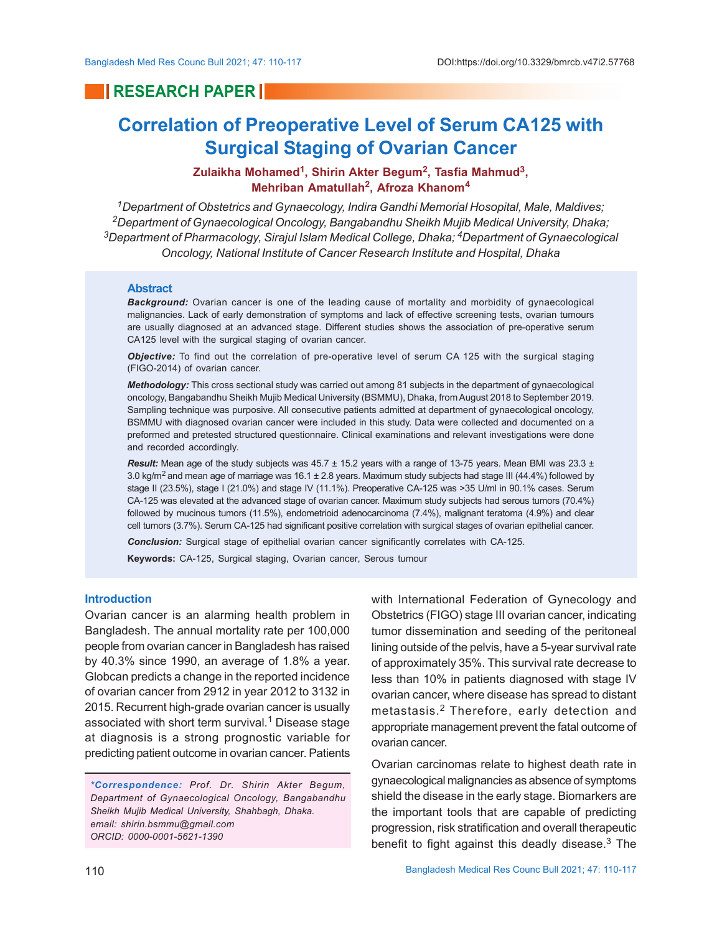# **RESEARCH PAPER IN**

# **Correlation of Preoperative Level of Serum CA125 with Surgical Staging of Ovarian Cancer**

# **Zulaikha Mohamed<sup>1</sup> , Shirin Akter Begum<sup>2</sup> , Tasfia Mahmud<sup>3</sup> , Mehriban Amatullah<sup>2</sup> , Afroza Khanom<sup>4</sup>**

*Department of Obstetrics and Gynaecology, Indira Gandhi Memorial Hosopital, Male, Maldives; Department of Gynaecological Oncology, Bangabandhu Sheikh Mujib Medical University, Dhaka; Department of Pharmacology, Sirajul Islam Medical College, Dhaka; 4Department of Gynaecological Oncology, National Institute of Cancer Research Institute and Hospital, Dhaka*

#### **Abstract**

*Background:* Ovarian cancer is one of the leading cause of mortality and morbidity of gynaecological malignancies. Lack of early demonstration of symptoms and lack of effective screening tests, ovarian tumours are usually diagnosed at an advanced stage. Different studies shows the association of pre-operative serum CA125 level with the surgical staging of ovarian cancer.

*Objective:* To find out the correlation of pre-operative level of serum CA 125 with the surgical staging (FIGO-2014) of ovarian cancer.

*Methodology:* This cross sectional study was carried out among 81 subjects in the department of gynaecological oncology, Bangabandhu Sheikh Mujib Medical University (BSMMU), Dhaka, from August 2018 to September 2019. Sampling technique was purposive. All consecutive patients admitted at department of gynaecological oncology, BSMMU with diagnosed ovarian cancer were included in this study. Data were collected and documented on a preformed and pretested structured questionnaire. Clinical examinations and relevant investigations were done and recorded accordingly.

*Result:* Mean age of the study subjects was 45.7 ± 15.2 years with a range of 13-75 years. Mean BMI was 23.3 ± 3.0 kg/m<sup>2</sup> and mean age of marriage was 16.1  $\pm$  2.8 years. Maximum study subjects had stage III (44.4%) followed by stage II (23.5%), stage I (21.0%) and stage IV (11.1%). Preoperative CA-125 was >35 U/ml in 90.1% cases. Serum CA-125 was elevated at the advanced stage of ovarian cancer. Maximum study subjects had serous tumors (70.4%) followed by mucinous tumors (11.5%), endometrioid adenocarcinoma (7.4%), malignant teratoma (4.9%) and clear cell tumors (3.7%). Serum CA-125 had significant positive correlation with surgical stages of ovarian epithelial cancer.

*Conclusion:* Surgical stage of epithelial ovarian cancer significantly correlates with CA-125.

**Keywords:** CA-125, Surgical staging, Ovarian cancer, Serous tumour

## **Introduction**

Ovarian cancer is an alarming health problem in Bangladesh. The annual mortality rate per 100,000 people from ovarian cancer in Bangladesh has raised by 40.3% since 1990, an average of 1.8% a year. Globcan predicts a change in the reported incidence of ovarian cancer from 2912 in year 2012 to 3132 in 2015. Recurrent high-grade ovarian cancer is usually associated with short term survival. $^{\rm 1}$  Disease stage at diagnosis is a strong prognostic variable for predicting patient outcome in ovarian cancer. Patients

*\*Correspondence: Prof. Dr. Shirin Akter Begum, Department of Gynaecological Oncology, Bangabandhu Sheikh Mujib Medical University, Shahbagh, Dhaka. email: shirin.bsmmu@gmail.com ORCID: 0000-0001-5621-1390*

with International Federation of Gynecology and Obstetrics (FIGO) stage III ovarian cancer, indicating tumor dissemination and seeding of the peritoneal lining outside of the pelvis, have a 5-year survival rate of approximately 35%. This survival rate decrease to less than 10% in patients diagnosed with stage IV ovarian cancer, where disease has spread to distant metastasis.2 Therefore, early detection and appropriate management prevent the fatal outcome of ovarian cancer.

Ovarian carcinomas relate to highest death rate in gynaecological malignancies as absence of symptoms shield the disease in the early stage. Biomarkers are the important tools that are capable of predicting progression, risk stratification and overall therapeutic benefit to fight against this deadly disease. $^3$  The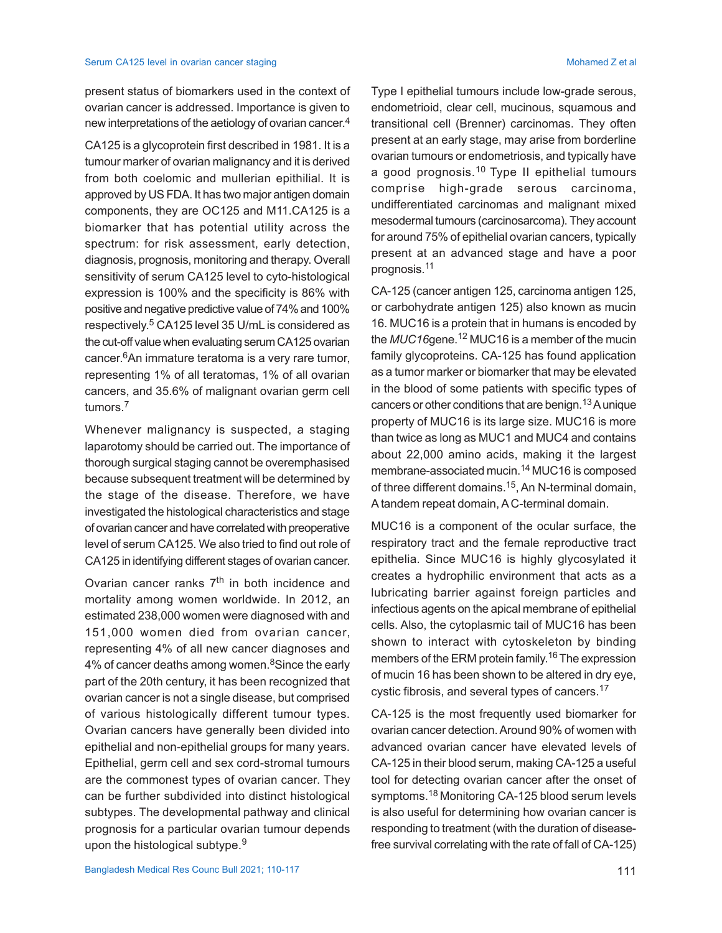present status of biomarkers used in the context of ovarian cancer is addressed. Importance is given to new interpretations of the aetiology of ovarian cancer. 4

CA125 is a glycoprotein first described in 1981. It is a tumour marker of ovarian malignancy and it is derived from both coelomic and mullerian epithilial. It is approved by US FDA. It has two major antigen domain components, they are OC125 and M11.CA125 is a biomarker that has potential utility across the spectrum: for risk assessment, early detection, diagnosis, prognosis, monitoring and therapy. Overall sensitivity of serum CA125 level to cyto-histological expression is 100% and the specificity is 86% with positive and negative predictive value of 74% and 100% respectively. 5 CA125 level 35 U/mL is considered as the cut-off value when evaluating serum CA125 ovarian cancer. <sup>6</sup>An immature teratoma is a very rare tumor, representing 1% of all teratomas, 1% of all ovarian cancers, and 35.6% of malignant ovarian germ cell tumors.<sup>7</sup>

Whenever malignancy is suspected, a staging laparotomy should be carried out. The importance of thorough surgical staging cannot be overemphasised because subsequent treatment will be determined by the stage of the disease. Therefore, we have investigated the histological characteristics and stage of ovarian cancer and have correlated with preoperative level of serum CA125. We also tried to find out role of CA125 in identifying different stages of ovarian cancer.

Ovarian cancer ranks  $7<sup>th</sup>$  in both incidence and mortality among women worldwide. In 2012, an estimated 238,000 women were diagnosed with and 151,000 women died from ovarian cancer, representing 4% of all new cancer diagnoses and 4% of cancer deaths among women. $8$ Since the early part of the 20th century, it has been recognized that ovarian cancer is not a single disease, but comprised of various histologically different tumour types. Ovarian cancers have generally been divided into epithelial and non-epithelial groups for many years. Epithelial, germ cell and sex cord-stromal tumours are the commonest types of ovarian cancer. They can be further subdivided into distinct histological subtypes. The developmental pathway and clinical prognosis for a particular ovarian tumour depends upon the histological subtype.<sup>9</sup>

Type I epithelial tumours include low-grade serous, endometrioid, clear cell, mucinous, squamous and transitional cell (Brenner) carcinomas. They often present at an early stage, may arise from borderline ovarian tumours or endometriosis, and typically have a good prognosis.<sup>10</sup> Type II epithelial tumours comprise high-grade serous carcinoma, undifferentiated carcinomas and malignant mixed mesodermal tumours (carcinosarcoma). They account for around 75% of epithelial ovarian cancers, typically present at an advanced stage and have a poor prognosis.<sup>11</sup>

CA-125 (cancer antigen 125, carcinoma antigen 125, or carbohydrate antigen 125) also known as mucin 16. MUC16 is a protein that in humans is encoded by the *MUC16*gene.<sup>12</sup> MUC16 is a member of the mucin family glycoproteins. CA-125 has found application as a tumor marker or biomarker that may be elevated in the blood of some patients with specific types of cancers or other conditions that are benign.<sup>13</sup> A unique property of MUC16 is its large size. MUC16 is more than twice as long as MUC1 and MUC4 and contains about 22,000 amino acids, making it the largest membrane-associated mucin.14 MUC16 is composed of three different domains.<sup>15</sup>, An N-terminal domain, A tandem repeat domain, A C-terminal domain.

MUC16 is a component of the ocular surface, the respiratory tract and the female reproductive tract epithelia. Since MUC16 is highly glycosylated it creates a hydrophilic environment that acts as a lubricating barrier against foreign particles and infectious agents on the apical membrane of epithelial cells. Also, the cytoplasmic tail of MUC16 has been shown to interact with cytoskeleton by binding members of the ERM protein family.<sup>16</sup> The expression of mucin 16 has been shown to be altered in dry eye, cystic fibrosis, and several types of cancers.<sup>17</sup>

CA-125 is the most frequently used biomarker for ovarian cancer detection. Around 90% of women with advanced ovarian cancer have elevated levels of CA-125 in their blood serum, making CA-125 a useful tool for detecting ovarian cancer after the onset of symptoms.18 Monitoring CA-125 blood serum levels is also useful for determining how ovarian cancer is responding to treatment (with the duration of diseasefree survival correlating with the rate of fall of CA-125)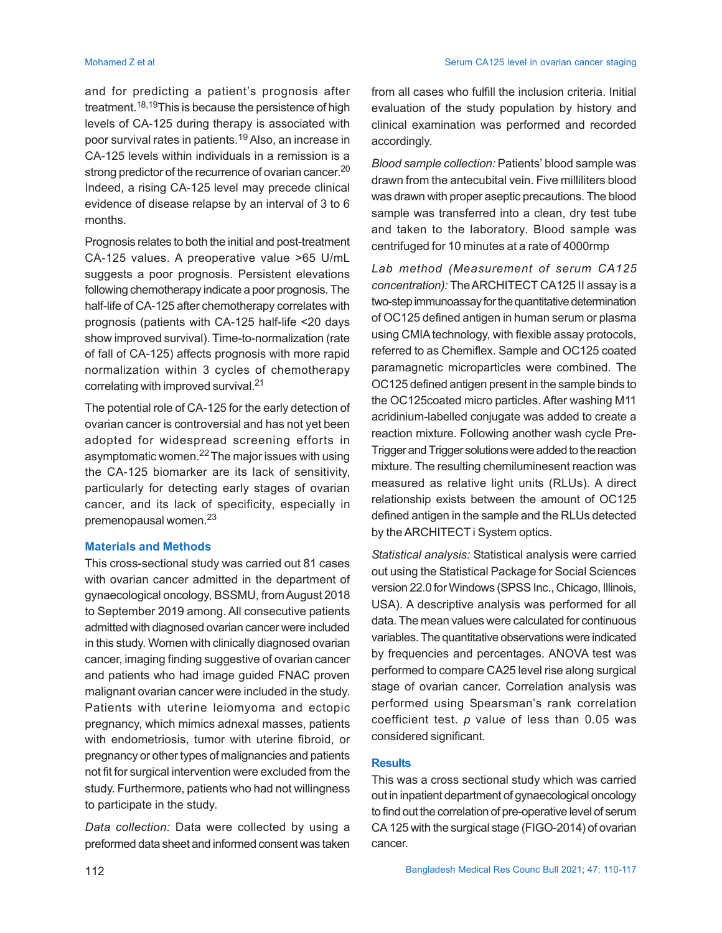and for predicting a patient's prognosis after treatment.18,19This is because the persistence of high levels of CA-125 during therapy is associated with poor survival rates in patients.<sup>19</sup> Also, an increase in CA-125 levels within individuals in a remission is a strong predictor of the recurrence of ovarian cancer.<sup>20</sup> Indeed, a rising CA-125 level may precede clinical evidence of disease relapse by an interval of 3 to 6 months.

Prognosis relates to both the initial and post-treatment CA-125 values. A preoperative value >65 U/mL suggests a poor prognosis. Persistent elevations following chemotherapy indicate a poor prognosis. The half-life of CA-125 after chemotherapy correlates with prognosis (patients with CA-125 half-life <20 days show improved survival). Time-to-normalization (rate of fall of CA-125) affects prognosis with more rapid normalization within 3 cycles of chemotherapy correlating with improved survival.<sup>21</sup>

The potential role of CA-125 for the early detection of ovarian cancer is controversial and has not yet been adopted for widespread screening efforts in asymptomatic women.22 The major issues with using the CA-125 biomarker are its lack of sensitivity, particularly for detecting early stages of ovarian cancer, and its lack of specificity, especially in premenopausal women.<sup>23</sup>

# **Materials and Methods**

This cross-sectional study was carried out 81 cases with ovarian cancer admitted in the department of gynaecological oncology, BSSMU, from August 2018 to September 2019 among. All consecutive patients admitted with diagnosed ovarian cancer were included in this study. Women with clinically diagnosed ovarian cancer, imaging finding suggestive of ovarian cancer and patients who had image guided FNAC proven malignant ovarian cancer were included in the study. Patients with uterine leiomyoma and ectopic pregnancy, which mimics adnexal masses, patients with endometriosis, tumor with uterine fibroid, or pregnancy or other types of malignancies and patients not fit for surgical intervention were excluded from the study. Furthermore, patients who had not willingness to participate in the study.

*Data collection:* Data were collected by using a preformed data sheet and informed consent was taken from all cases who fulfill the inclusion criteria. Initial evaluation of the study population by history and clinical examination was performed and recorded accordingly.

*Blood sample collection:* Patients' blood sample was drawn from the antecubital vein. Five milliliters blood was drawn with proper aseptic precautions. The blood sample was transferred into a clean, dry test tube and taken to the laboratory. Blood sample was centrifuged for 10 minutes at a rate of 4000rmp

*Lab method (Measurement of serum CA125 concentration):* The ARCHITECT CA125 II assay is a two-step immunoassay for the quantitative determination of OC125 defined antigen in human serum or plasma using CMIA technology, with flexible assay protocols, referred to as Chemiflex. Sample and OC125 coated paramagnetic microparticles were combined. The OC125 defined antigen present in the sample binds to the OC125coated micro particles. After washing M11 acridinium-labelled conjugate was added to create a reaction mixture. Following another wash cycle Pre-Trigger and Trigger solutions were added to the reaction mixture. The resulting chemiluminesent reaction was measured as relative light units (RLUs). A direct relationship exists between the amount of OC125 defined antigen in the sample and the RLUs detected by the ARCHITECT i System optics.

*Statistical analysis:* Statistical analysis were carried out using the Statistical Package for Social Sciences version 22.0 for Windows (SPSS Inc., Chicago, Illinois, USA). A descriptive analysis was performed for all data. The mean values were calculated for continuous variables. The quantitative observations were indicated by frequencies and percentages. ANOVA test was performed to compare CA25 level rise along surgical stage of ovarian cancer. Correlation analysis was performed using Spearsman's rank correlation coefficient test. *p* value of less than 0.05 was considered significant.

## **Results**

This was a cross sectional study which was carried out in inpatient department of gynaecological oncology to find out the correlation of pre-operative level of serum CA 125 with the surgical stage (FIGO-2014) of ovarian cancer.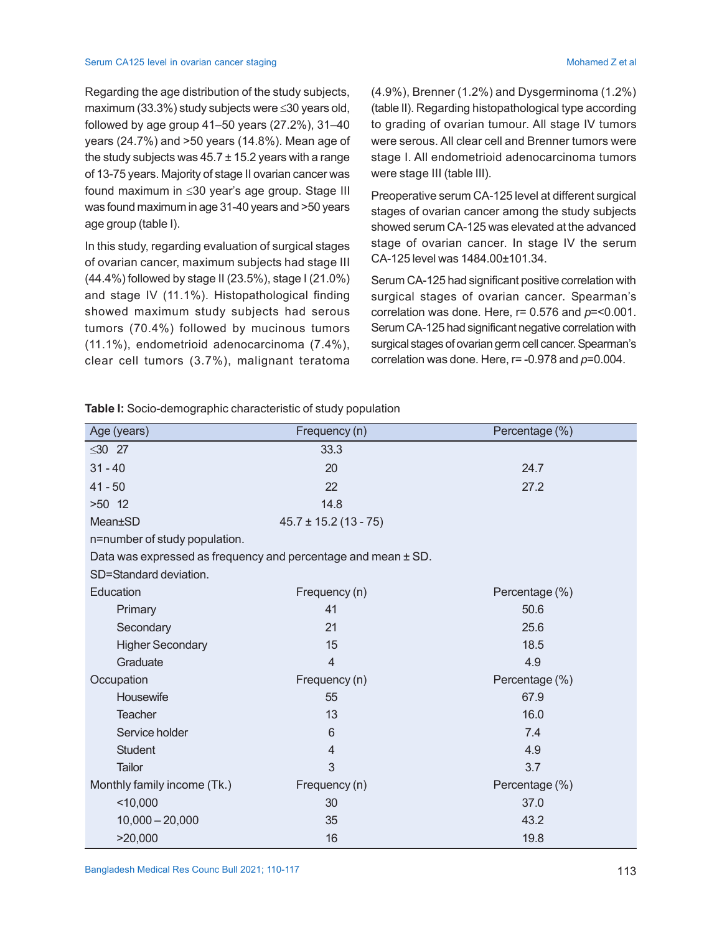#### Serum CA125 level in ovarian cancer staging Mohamed Z et al. And Server Server All and Server All and Server All and Server All and Server All and Server All and Server All and Server All and Server All and Server All and

Regarding the age distribution of the study subjects, maximum (33.3%) study subjects were  $\leq$ 30 years old, followed by age group 41–50 years (27.2%), 31–40 years (24.7%) and >50 years (14.8%). Mean age of the study subjects was  $45.7 \pm 15.2$  years with a range of 13-75 years. Majority of stage II ovarian cancer was found maximum in  $\leq 30$  year's age group. Stage III was found maximum in age 31-40 years and >50 years age group (table I).

In this study, regarding evaluation of surgical stages of ovarian cancer, maximum subjects had stage III (44.4%) followed by stage II (23.5%), stage I (21.0%) and stage IV (11.1%). Histopathological finding showed maximum study subjects had serous tumors (70.4%) followed by mucinous tumors (11.1%), endometrioid adenocarcinoma (7.4%), clear cell tumors (3.7%), malignant teratoma (4.9%), Brenner (1.2%) and Dysgerminoma (1.2%) (table II). Regarding histopathological type according to grading of ovarian tumour. All stage IV tumors were serous. All clear cell and Brenner tumors were stage I. All endometrioid adenocarcinoma tumors were stage III (table III).

Preoperative serum CA-125 level at different surgical stages of ovarian cancer among the study subjects showed serum CA-125 was elevated at the advanced stage of ovarian cancer. In stage IV the serum CA-125 level was 1484.00±101.34.

Serum CA-125 had significant positive correlation with surgical stages of ovarian cancer. Spearman's correlation was done. Here, r= 0.576 and *p*=<0.001. Serum CA-125 had significant negative correlation with surgical stages of ovarian germ cell cancer. Spearman's correlation was done. Here, r= -0.978 and *p*=0.004.

| Age (years)                   | Frequency (n)                                                 | Percentage (%) |
|-------------------------------|---------------------------------------------------------------|----------------|
| $\leq 30$ 27                  | 33.3                                                          |                |
| $31 - 40$                     | 20                                                            | 24.7           |
| $41 - 50$                     | 22<br>27.2                                                    |                |
| $>50$ 12                      | 14.8                                                          |                |
| Mean±SD                       | $45.7 \pm 15.2$ (13 - 75)                                     |                |
| n=number of study population. |                                                               |                |
|                               | Data was expressed as frequency and percentage and mean ± SD. |                |
| SD=Standard deviation.        |                                                               |                |
| Education                     | Frequency (n)                                                 | Percentage (%) |
| Primary                       | 41                                                            | 50.6           |
| Secondary                     | 21                                                            | 25.6           |
| <b>Higher Secondary</b>       | 15                                                            | 18.5           |
| Graduate                      | $\overline{4}$                                                | 4.9            |
| Occupation                    | Frequency (n)                                                 | Percentage (%) |
| Housewife                     | 55                                                            | 67.9           |
| <b>Teacher</b>                | 13                                                            | 16.0           |
| Service holder                | 6                                                             | 7.4            |
| <b>Student</b>                | 4                                                             | 4.9            |
| <b>Tailor</b>                 | 3                                                             | 3.7            |
| Monthly family income (Tk.)   | Frequency (n)                                                 | Percentage (%) |
| < 10,000                      | 30                                                            | 37.0           |
| $10,000 - 20,000$             | 35                                                            | 43.2           |
| >20,000                       | 16                                                            | 19.8           |

**Table I:** Socio-demographic characteristic of study population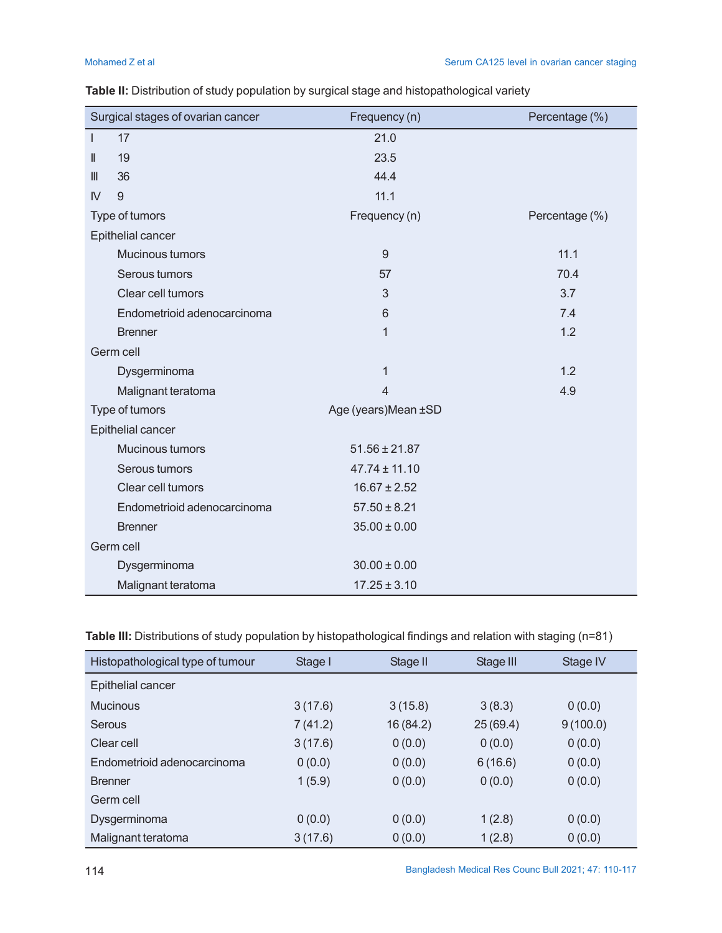|              | Surgical stages of ovarian cancer | Frequency (n)       | Percentage (%) |
|--------------|-----------------------------------|---------------------|----------------|
| L            | 17                                | 21.0                |                |
| Ш            | 19                                | 23.5                |                |
| III          | 36                                | 44.4                |                |
| $\mathsf{N}$ | 9                                 | 11.1                |                |
|              | Type of tumors                    | Frequency (n)       | Percentage (%) |
|              | Epithelial cancer                 |                     |                |
|              | Mucinous tumors                   | 9                   | 11.1           |
|              | Serous tumors                     | 57                  | 70.4           |
|              | Clear cell tumors                 | 3                   | 3.7            |
|              | Endometrioid adenocarcinoma       | 6                   | 7.4            |
|              | <b>Brenner</b>                    | $\mathbf{1}$        | 1.2            |
|              | Germ cell                         |                     |                |
|              | Dysgerminoma                      | 1                   | 1.2            |
|              | Malignant teratoma                | $\overline{4}$      | 4.9            |
|              | Type of tumors                    | Age (years)Mean ±SD |                |
|              | Epithelial cancer                 |                     |                |
|              | Mucinous tumors                   | $51.56 \pm 21.87$   |                |
|              | Serous tumors                     | $47.74 \pm 11.10$   |                |
|              | Clear cell tumors                 | $16.67 \pm 2.52$    |                |
|              | Endometrioid adenocarcinoma       | $57.50 \pm 8.21$    |                |
|              | <b>Brenner</b>                    | $35.00 \pm 0.00$    |                |
|              | Germ cell                         |                     |                |
|              | Dysgerminoma                      | $30.00 \pm 0.00$    |                |
|              | Malignant teratoma                | $17.25 \pm 3.10$    |                |

| Table II: Distribution of study population by surgical stage and histopathological variety |  |  |  |  |
|--------------------------------------------------------------------------------------------|--|--|--|--|
|--------------------------------------------------------------------------------------------|--|--|--|--|

**Table III:** Distributions of study population by histopathological findings and relation with staging (n=81)

| Histopathological type of tumour | Stage I | Stage II | Stage III | Stage IV |
|----------------------------------|---------|----------|-----------|----------|
| Epithelial cancer                |         |          |           |          |
| <b>Mucinous</b>                  | 3(17.6) | 3(15.8)  | 3(8.3)    | 0(0.0)   |
| <b>Serous</b>                    | 7(41.2) | 16(84.2) | 25(69.4)  | 9(100.0) |
| Clear cell                       | 3(17.6) | 0(0.0)   | 0(0.0)    | 0(0.0)   |
| Endometrioid adenocarcinoma      | 0(0.0)  | 0(0.0)   | 6(16.6)   | 0(0.0)   |
| <b>Brenner</b>                   | 1(5.9)  | 0(0.0)   | 0(0.0)    | 0(0.0)   |
| Germ cell                        |         |          |           |          |
| Dysgerminoma                     | 0(0.0)  | 0(0.0)   | 1(2.8)    | 0(0.0)   |
| Malignant teratoma               | 3(17.6) | 0(0.0)   | 1(2.8)    | 0(0.0)   |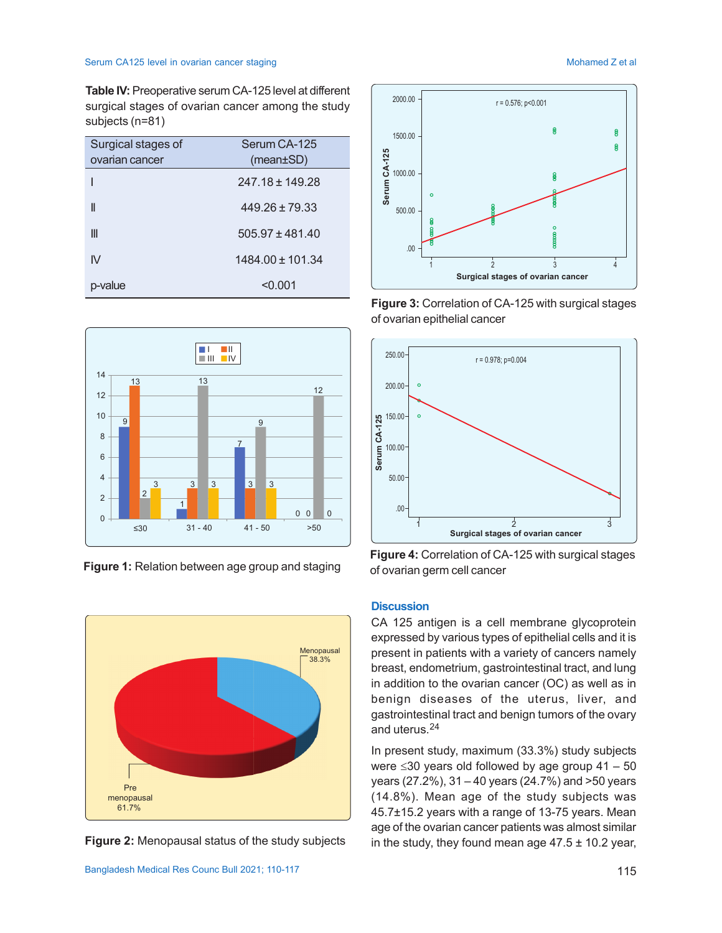## Serum CA125 level in ovarian cancer staging Mohamed Z et al. A service of the Mohamed Z et al.

**Table IV:** Preoperative serum CA-125 level at different surgical stages of ovarian cancer among the study subjects (n=81)

| Surgical stages of | Serum CA-125         |
|--------------------|----------------------|
| ovarian cancer     | $(mean \pm SD)$      |
|                    | $247.18 \pm 149.28$  |
| II                 | $449.26 \pm 79.33$   |
| Ш                  | $505.97 \pm 481.40$  |
| IV                 | $1484.00 \pm 101.34$ |
| p-value            | < 0.001              |



**Figure 1:** Relation between age group and staging



**Figure 2:** Menopausal status of the study subjects



**Figure 3:** Correlation of CA-125 with surgical stages of ovarian epithelial cancer



**Figure 4:** Correlation of CA-125 with surgical stages of ovarian germ cell cancer

# **Discussion**

CA 125 antigen is a cell membrane glycoprotein expressed by various types of epithelial cells and it is present in patients with a variety of cancers namely breast, endometrium, gastrointestinal tract, and lung in addition to the ovarian cancer (OC) as well as in benign diseases of the uterus, liver, and gastrointestinal tract and benign tumors of the ovary and uterus.<sup>24</sup>

In present study, maximum (33.3%) study subjects were  $\leq$ 30 years old followed by age group 41 – 50 years (27.2%), 31 – 40 years (24.7%) and >50 years (14.8%). Mean age of the study subjects was 45.7±15.2 years with a range of 13-75 years. Mean age of the ovarian cancer patients was almost similar in the study, they found mean age  $47.5 \pm 10.2$  year,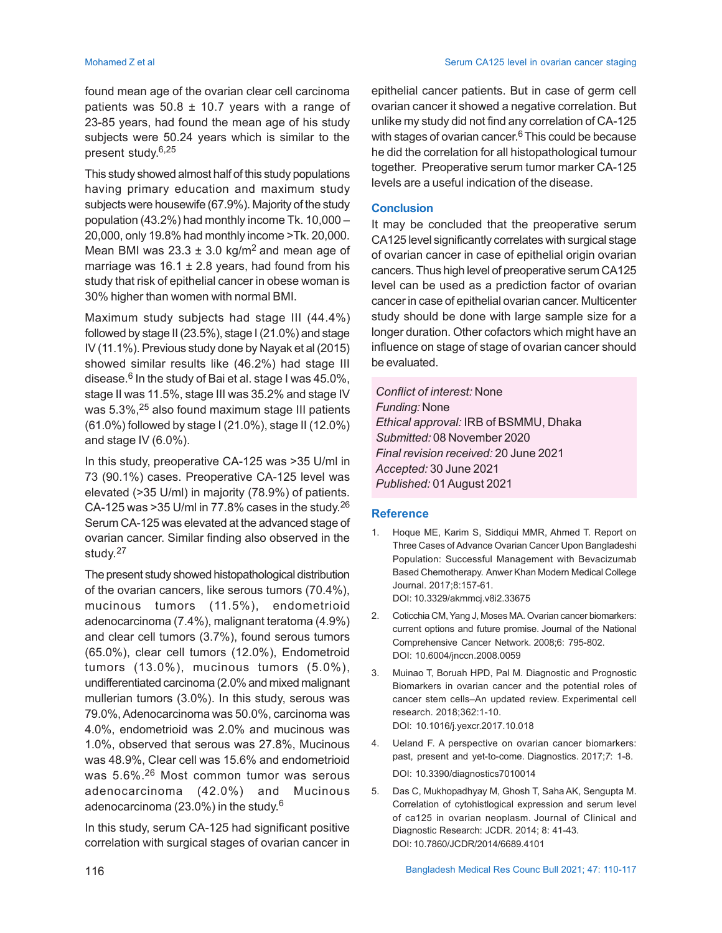Mohamed Z et al Serum CA125 level in ovarian cancer staging

found mean age of the ovarian clear cell carcinoma patients was  $50.8 \pm 10.7$  years with a range of 23-85 years, had found the mean age of his study subjects were 50.24 years which is similar to the present study. 6,25

This study showed almost half of this study populations having primary education and maximum study subjects were housewife (67.9%). Majority of the study population (43.2%) had monthly income Tk. 10,000 – 20,000, only 19.8% had monthly income >Tk. 20,000. Mean BMI was  $23.3 \pm 3.0$  kg/m<sup>2</sup> and mean age of marriage was  $16.1 \pm 2.8$  years, had found from his study that risk of epithelial cancer in obese woman is 30% higher than women with normal BMI.

Maximum study subjects had stage III (44.4%) followed by stage II (23.5%), stage I (21.0%) and stage IV (11.1%). Previous study done by Nayak et al (2015) showed similar results like (46.2%) had stage III disease.<sup>6</sup> In the study of Bai et al. stage I was 45.0%, stage II was 11.5%, stage III was 35.2% and stage IV was 5.3%,<sup>25</sup> also found maximum stage III patients (61.0%) followed by stage I (21.0%), stage II (12.0%) and stage IV (6.0%).

In this study, preoperative CA-125 was >35 U/ml in 73 (90.1%) cases. Preoperative CA-125 level was elevated (>35 U/ml) in majority (78.9%) of patients. CA-125 was >35 U/ml in 77.8% cases in the study.<sup>26</sup> Serum CA-125 was elevated at the advanced stage of ovarian cancer. Similar finding also observed in the study. 27

The present study showed histopathological distribution of the ovarian cancers, like serous tumors (70.4%), mucinous tumors (11.5%), endometrioid adenocarcinoma (7.4%), malignant teratoma (4.9%) and clear cell tumors (3.7%), found serous tumors (65.0%), clear cell tumors (12.0%), Endometroid tumors (13.0%), mucinous tumors (5.0%), undifferentiated carcinoma (2.0% and mixed malignant mullerian tumors (3.0%). In this study, serous was 79.0%, Adenocarcinoma was 50.0%, carcinoma was 4.0%, endometrioid was 2.0% and mucinous was 1.0%, observed that serous was 27.8%, Mucinous was 48.9%, Clear cell was 15.6% and endometrioid was 5.6%.26 Most common tumor was serous adenocarcinoma (42.0%) and Mucinous adenocarcinoma (23.0%) in the study. $^6$ 

In this study, serum CA-125 had significant positive correlation with surgical stages of ovarian cancer in epithelial cancer patients. But in case of germ cell ovarian cancer it showed a negative correlation. But unlike my study did not find any correlation of CA-125 with stages of ovarian cancer. <sup>6</sup>This could be because he did the correlation for all histopathological tumour together. Preoperative serum tumor marker CA-125 levels are a useful indication of the disease.

## **Conclusion**

It may be concluded that the preoperative serum CA125 level significantly correlates with surgical stage of ovarian cancer in case of epithelial origin ovarian cancers. Thus high level of preoperative serum CA125 level can be used as a prediction factor of ovarian cancer in case of epithelial ovarian cancer. Multicenter study should be done with large sample size for a longer duration. Other cofactors which might have an influence on stage of stage of ovarian cancer should be evaluated.

*Conflict of interest:* None *Funding:* None *Ethical approval:* IRB of BSMMU, Dhaka *Submitted:* 08 November 2020 *Final revision received:* 20 June 2021 *Accepted:* 30 June 2021 *Published:* 01August 2021

## **Reference**

- 1. Hoque ME, Karim S, Siddiqui MMR, Ahmed T. Report on Three Cases of Advance Ovarian Cancer Upon Bangladeshi Population: Successful Management with Bevacizumab Based Chemotherapy. Anwer Khan Modern Medical College Journal. 2017;8:157-61. DOI: 10.3329/akmmcj.v8i2.33675
- 2. Coticchia CM, Yang J, Moses MA. Ovarian cancer biomarkers: current options and future promise. Journal of the National Comprehensive Cancer Network. 2008;6: 795-802. DOI: 10.6004/jnccn.2008.0059
- 3. Muinao T, Boruah HPD, Pal M. Diagnostic and Prognostic Biomarkers in ovarian cancer and the potential roles of cancer stem cells–An updated review. Experimental cell research. 2018;362:1-10. DOI: 10.1016/j.yexcr.2017.10.018
- 4. Ueland F. A perspective on ovarian cancer biomarkers: past, present and yet-to-come. Diagnostics. 2017;*7*: 1-8. DOI: 10.3390/diagnostics7010014
- 5. Das C, Mukhopadhyay M, Ghosh T, Saha AK, Sengupta M. Correlation of cytohistlogical expression and serum level of ca125 in ovarian neoplasm. Journal of Clinical and Diagnostic Research: JCDR. 2014; 8: 41-43. DOI: 10.7860/JCDR/2014/6689.4101